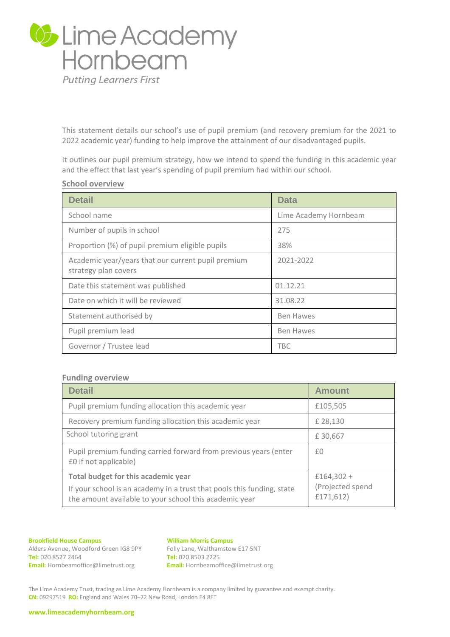

This statement details our school's use of pupil premium (and recovery premium for the 2021 to 2022 academic year) funding to help improve the attainment of our disadvantaged pupils.

It outlines our pupil premium strategy, how we intend to spend the funding in this academic year and the effect that last year's spending of pupil premium had within our school.

## **School overview**

| <b>Detail</b>                                                              | <b>Data</b>           |
|----------------------------------------------------------------------------|-----------------------|
| School name                                                                | Lime Academy Hornbeam |
| Number of pupils in school                                                 | 275                   |
| Proportion (%) of pupil premium eligible pupils                            | 38%                   |
| Academic year/years that our current pupil premium<br>strategy plan covers | 2021-2022             |
| Date this statement was published                                          | 01.12.21              |
| Date on which it will be reviewed                                          | 31.08.22              |
| Statement authorised by                                                    | <b>Ben Hawes</b>      |
| Pupil premium lead                                                         | <b>Ben Hawes</b>      |
| Governor / Trustee lead                                                    | TBC.                  |

### **Funding overview**

| <b>Detail</b>                                                                                                                                                           | <b>Amount</b>                                 |
|-------------------------------------------------------------------------------------------------------------------------------------------------------------------------|-----------------------------------------------|
| Pupil premium funding allocation this academic year                                                                                                                     | £105,505                                      |
| Recovery premium funding allocation this academic year                                                                                                                  | £ 28,130                                      |
| School tutoring grant                                                                                                                                                   | £30,667                                       |
| Pupil premium funding carried forward from previous years (enter<br>£0 if not applicable)                                                                               | £0                                            |
| Total budget for this academic year<br>If your school is an academy in a trust that pools this funding, state<br>the amount available to your school this academic year | $£164,302 +$<br>(Projected spend<br>£171,612) |

#### **Brookfield House Campus**

Alders Avenue, Woodford Green IG8 9PY **Tel:** 020 8527 2464 **Email:** Hornbeamoffice@limetrust.org

#### **William Morris Campus**

Folly Lane, Walthamstow E17 5NT **Tel:** 020 8503 2225 **Email:** Hornbeamoffice@limetrust.org

The Lime Academy Trust, trading as Lime Academy Hornbeam is a company limited by guarantee and exempt charity. **CN:** 09297519 **RO:** England and Wales 70–72 New Road, London E4 8ET

**www.limeacademyhornbeam.org**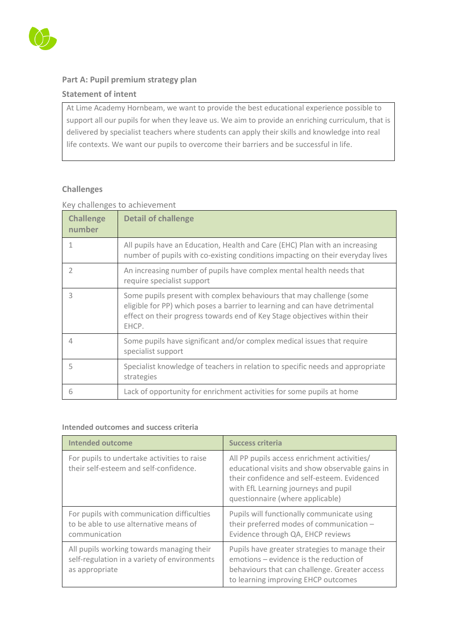

# **Part A: Pupil premium strategy plan**

## **Statement of intent**

At Lime Academy Hornbeam, we want to provide the best educational experience possible to support all our pupils for when they leave us. We aim to provide an enriching curriculum, that is delivered by specialist teachers where students can apply their skills and knowledge into real life contexts. We want our pupils to overcome their barriers and be successful in life.

# **Challenges**

# Key challenges to achievement

| <b>Challenge</b><br>number | <b>Detail of challenge</b>                                                                                                                                                                                                                |
|----------------------------|-------------------------------------------------------------------------------------------------------------------------------------------------------------------------------------------------------------------------------------------|
|                            | All pupils have an Education, Health and Care (EHC) Plan with an increasing<br>number of pupils with co-existing conditions impacting on their everyday lives                                                                             |
|                            | An increasing number of pupils have complex mental health needs that<br>require specialist support                                                                                                                                        |
| 3                          | Some pupils present with complex behaviours that may challenge (some<br>eligible for PP) which poses a barrier to learning and can have detrimental<br>effect on their progress towards end of Key Stage objectives within their<br>EHCP. |
|                            | Some pupils have significant and/or complex medical issues that require<br>specialist support                                                                                                                                             |
| 5                          | Specialist knowledge of teachers in relation to specific needs and appropriate<br>strategies                                                                                                                                              |
| 6                          | Lack of opportunity for enrichment activities for some pupils at home                                                                                                                                                                     |

## **Intended outcomes and success criteria**

| <b>Intended outcome</b>                                                                                     | <b>Success criteria</b>                                                                                                                                                                                                   |
|-------------------------------------------------------------------------------------------------------------|---------------------------------------------------------------------------------------------------------------------------------------------------------------------------------------------------------------------------|
| For pupils to undertake activities to raise<br>their self-esteem and self-confidence.                       | All PP pupils access enrichment activities/<br>educational visits and show observable gains in<br>their confidence and self-esteem. Evidenced<br>with EfL Learning journeys and pupil<br>questionnaire (where applicable) |
| For pupils with communication difficulties<br>to be able to use alternative means of<br>communication       | Pupils will functionally communicate using<br>their preferred modes of communication -<br>Evidence through QA, EHCP reviews                                                                                               |
| All pupils working towards managing their<br>self-regulation in a variety of environments<br>as appropriate | Pupils have greater strategies to manage their<br>emotions - evidence is the reduction of<br>behaviours that can challenge. Greater access<br>to learning improving EHCP outcomes                                         |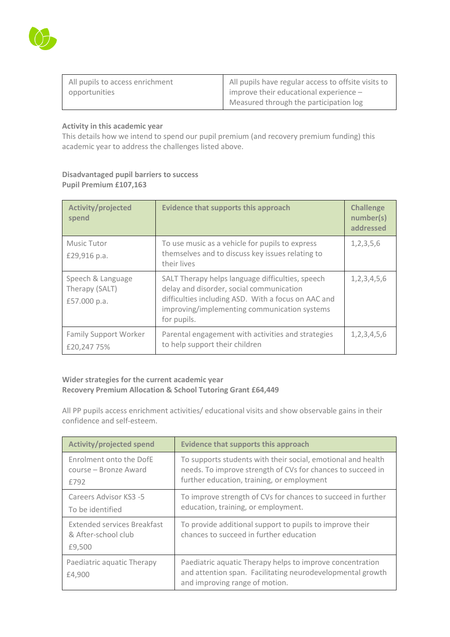

| All pupils to access enrichment | All pupils have regular access to offsite visits to |
|---------------------------------|-----------------------------------------------------|
| opportunities                   | improve their educational experience $-$            |
|                                 | Measured through the participation log              |

### **Activity in this academic year**

This details how we intend to spend our pupil premium (and recovery premium funding) this academic year to address the challenges listed above.

## **Disadvantaged pupil barriers to success Pupil Premium £107,163**

| <b>Activity/projected</b><br>spend                  | <b>Evidence that supports this approach</b>                                                                                                                                                                        | <b>Challenge</b><br>number(s)<br>addressed |
|-----------------------------------------------------|--------------------------------------------------------------------------------------------------------------------------------------------------------------------------------------------------------------------|--------------------------------------------|
| <b>Music Tutor</b><br>£29,916 p.a.                  | To use music as a vehicle for pupils to express<br>themselves and to discuss key issues relating to<br>their lives                                                                                                 | 1, 2, 3, 5, 6                              |
| Speech & Language<br>Therapy (SALT)<br>£57.000 p.a. | SALT Therapy helps language difficulties, speech<br>delay and disorder, social communication<br>difficulties including ASD. With a focus on AAC and<br>improving/implementing communication systems<br>for pupils. | 1, 2, 3, 4, 5, 6                           |
| <b>Family Support Worker</b><br>£20,24775%          | Parental engagement with activities and strategies<br>to help support their children                                                                                                                               | 1,2,3,4,5,6                                |

### **Wider strategies for the current academic year Recovery Premium Allocation & School Tutoring Grant £64,449**

All PP pupils access enrichment activities/ educational visits and show observable gains in their confidence and self-esteem.

| <b>Activity/projected spend</b>                                     | <b>Evidence that supports this approach</b>                                                                                                                               |
|---------------------------------------------------------------------|---------------------------------------------------------------------------------------------------------------------------------------------------------------------------|
| Enrolment onto the DofE<br>course – Bronze Award<br>£792            | To supports students with their social, emotional and health<br>needs. To improve strength of CVs for chances to succeed in<br>further education, training, or employment |
| Careers Advisor KS3 -5<br>To be identified                          | To improve strength of CVs for chances to succeed in further<br>education, training, or employment.                                                                       |
| <b>Extended services Breakfast</b><br>& After-school club<br>£9,500 | To provide additional support to pupils to improve their<br>chances to succeed in further education                                                                       |
| Paediatric aquatic Therapy<br>£4,900                                | Paediatric aquatic Therapy helps to improve concentration<br>and attention span. Facilitating neurodevelopmental growth<br>and improving range of motion.                 |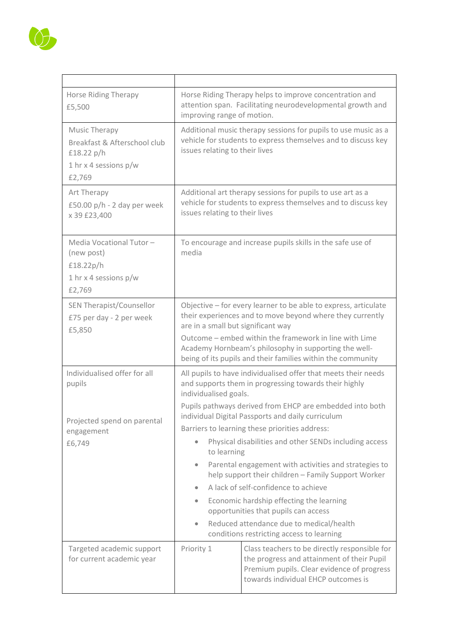

| <b>Horse Riding Therapy</b><br>£5,500                                                              | Horse Riding Therapy helps to improve concentration and<br>attention span. Facilitating neurodevelopmental growth and<br>improving range of motion.                                                                                                                                                                                                                                                                                                                                                                                                                                                                               |                                                                                                                                                                                  |  |
|----------------------------------------------------------------------------------------------------|-----------------------------------------------------------------------------------------------------------------------------------------------------------------------------------------------------------------------------------------------------------------------------------------------------------------------------------------------------------------------------------------------------------------------------------------------------------------------------------------------------------------------------------------------------------------------------------------------------------------------------------|----------------------------------------------------------------------------------------------------------------------------------------------------------------------------------|--|
| Music Therapy<br>Breakfast & Afterschool club<br>£18.22 $p/h$<br>1 hr x 4 sessions $p/w$<br>£2,769 | Additional music therapy sessions for pupils to use music as a<br>vehicle for students to express themselves and to discuss key<br>issues relating to their lives                                                                                                                                                                                                                                                                                                                                                                                                                                                                 |                                                                                                                                                                                  |  |
| Art Therapy<br>£50.00 $p/h$ - 2 day per week<br>x 39 £23,400                                       | Additional art therapy sessions for pupils to use art as a<br>vehicle for students to express themselves and to discuss key<br>issues relating to their lives                                                                                                                                                                                                                                                                                                                                                                                                                                                                     |                                                                                                                                                                                  |  |
| Media Vocational Tutor-<br>(new post)<br>£18.22p/h<br>1 hr x 4 sessions $p/w$<br>£2,769            | To encourage and increase pupils skills in the safe use of<br>media                                                                                                                                                                                                                                                                                                                                                                                                                                                                                                                                                               |                                                                                                                                                                                  |  |
| SEN Therapist/Counsellor<br>£75 per day - 2 per week<br>£5,850                                     | Objective - for every learner to be able to express, articulate<br>their experiences and to move beyond where they currently<br>are in a small but significant way<br>Outcome – embed within the framework in line with Lime<br>Academy Hornbeam's philosophy in supporting the well-<br>being of its pupils and their families within the community                                                                                                                                                                                                                                                                              |                                                                                                                                                                                  |  |
| Individualised offer for all<br>pupils                                                             | All pupils to have individualised offer that meets their needs<br>and supports them in progressing towards their highly<br>individualised goals.                                                                                                                                                                                                                                                                                                                                                                                                                                                                                  |                                                                                                                                                                                  |  |
| Projected spend on parental<br>engagement<br>£6,749                                                | Pupils pathways derived from EHCP are embedded into both<br>individual Digital Passports and daily curriculum<br>Barriers to learning these priorities address:<br>Physical disabilities and other SENDs including access<br>to learning<br>Parental engagement with activities and strategies to<br>$\bullet$<br>help support their children - Family Support Worker<br>A lack of self-confidence to achieve<br>$\bullet$<br>Economic hardship effecting the learning<br>$\bullet$<br>opportunities that pupils can access<br>Reduced attendance due to medical/health<br>$\bullet$<br>conditions restricting access to learning |                                                                                                                                                                                  |  |
| Targeted academic support<br>for current academic year                                             | Priority 1                                                                                                                                                                                                                                                                                                                                                                                                                                                                                                                                                                                                                        | Class teachers to be directly responsible for<br>the progress and attainment of their Pupil<br>Premium pupils. Clear evidence of progress<br>towards individual EHCP outcomes is |  |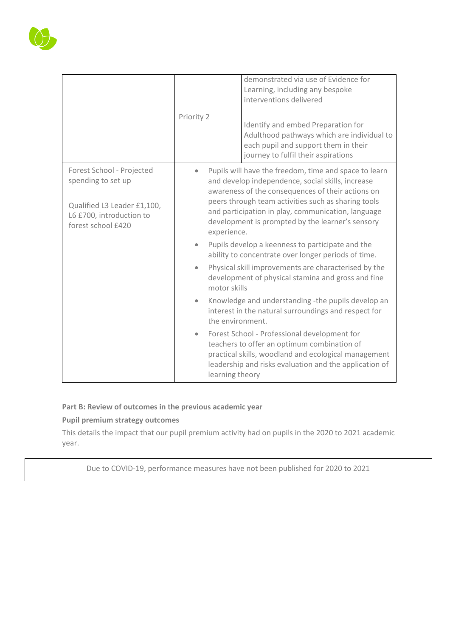

## **Part B: Review of outcomes in the previous academic year**

## **Pupil premium strategy outcomes**

This details the impact that our pupil premium activity had on pupils in the 2020 to 2021 academic year.

Due to COVID-19, performance measures have not been published for 2020 to 2021